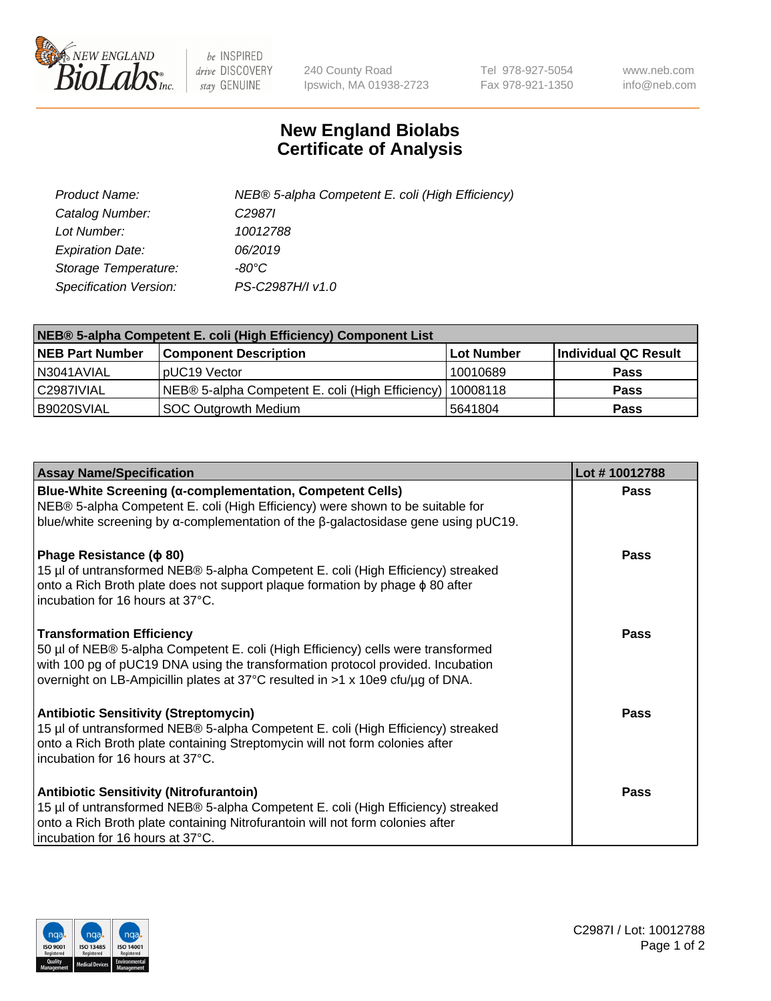

 $be$  INSPIRED drive DISCOVERY stay GENUINE

240 County Road Ipswich, MA 01938-2723 Tel 978-927-5054 Fax 978-921-1350 www.neb.com info@neb.com

## **New England Biolabs Certificate of Analysis**

| Product Name:           | NEB® 5-alpha Competent E. coli (High Efficiency) |
|-------------------------|--------------------------------------------------|
| Catalog Number:         | C <sub>2987</sub>                                |
| Lot Number:             | 10012788                                         |
| <b>Expiration Date:</b> | 06/2019                                          |
| Storage Temperature:    | -80°C                                            |
| Specification Version:  | PS-C2987H/I v1.0                                 |

| NEB® 5-alpha Competent E. coli (High Efficiency) Component List |                                                             |            |                      |  |
|-----------------------------------------------------------------|-------------------------------------------------------------|------------|----------------------|--|
| <b>NEB Part Number</b>                                          | <b>Component Description</b>                                | Lot Number | Individual QC Result |  |
| N3041AVIAL                                                      | pUC19 Vector                                                | 10010689   | <b>Pass</b>          |  |
| C2987IVIAL                                                      | NEB® 5-alpha Competent E. coli (High Efficiency)   10008118 |            | <b>Pass</b>          |  |
| B9020SVIAL                                                      | <b>SOC Outgrowth Medium</b>                                 | 5641804    | <b>Pass</b>          |  |

| <b>Assay Name/Specification</b>                                                                                                                                                                                                                                                           | Lot #10012788 |
|-------------------------------------------------------------------------------------------------------------------------------------------------------------------------------------------------------------------------------------------------------------------------------------------|---------------|
| Blue-White Screening (α-complementation, Competent Cells)<br>NEB® 5-alpha Competent E. coli (High Efficiency) were shown to be suitable for<br>blue/white screening by $\alpha$ -complementation of the $\beta$ -galactosidase gene using pUC19.                                          | Pass          |
| Phage Resistance ( $\phi$ 80)<br>15 µl of untransformed NEB® 5-alpha Competent E. coli (High Efficiency) streaked<br>onto a Rich Broth plate does not support plaque formation by phage $\phi$ 80 after<br>incubation for 16 hours at 37°C.                                               | <b>Pass</b>   |
| <b>Transformation Efficiency</b><br>50 µl of NEB® 5-alpha Competent E. coli (High Efficiency) cells were transformed<br>with 100 pg of pUC19 DNA using the transformation protocol provided. Incubation<br>overnight on LB-Ampicillin plates at 37°C resulted in >1 x 10e9 cfu/µg of DNA. | Pass          |
| <b>Antibiotic Sensitivity (Streptomycin)</b><br>15 µl of untransformed NEB® 5-alpha Competent E. coli (High Efficiency) streaked<br>onto a Rich Broth plate containing Streptomycin will not form colonies after<br>incubation for 16 hours at 37°C.                                      | Pass          |
| <b>Antibiotic Sensitivity (Nitrofurantoin)</b><br>15 µl of untransformed NEB® 5-alpha Competent E. coli (High Efficiency) streaked<br>onto a Rich Broth plate containing Nitrofurantoin will not form colonies after<br>incubation for 16 hours at 37°C.                                  | Pass          |